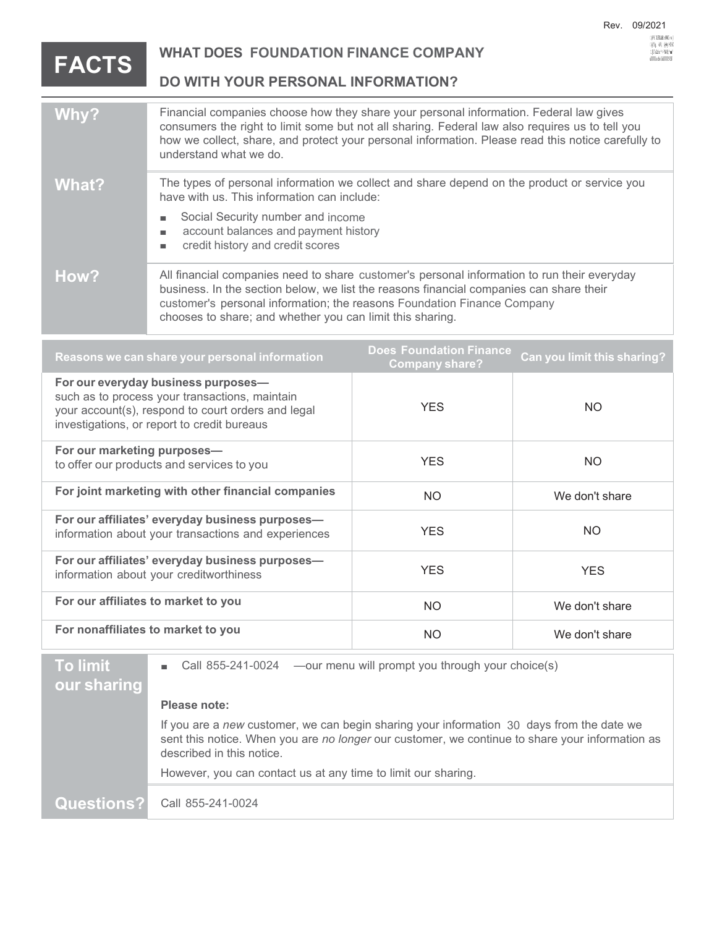: J=Y XXXXXXX RMCI w |<br>D@Yg. -h.V; @+4y>422<br>altttis ah Uutuus USU

## **FACTS**

**WHAT DOES FOUNDATION FINANCE COMPANY**

**DO WITH YOUR PERSONAL INFORMATION?**

| Why?  | Financial companies choose how they share your personal information. Federal law gives<br>consumers the right to limit some but not all sharing. Federal law also requires us to tell you<br>how we collect, share, and protect your personal information. Please read this notice carefully to<br>understand what we do.      |
|-------|--------------------------------------------------------------------------------------------------------------------------------------------------------------------------------------------------------------------------------------------------------------------------------------------------------------------------------|
| What? | The types of personal information we collect and share depend on the product or service you<br>have with us. This information can include:                                                                                                                                                                                     |
|       | Social Security number and income<br>account balances and payment history<br>credit history and credit scores                                                                                                                                                                                                                  |
| How?  | All financial companies need to share customer's personal information to run their everyday<br>business. In the section below, we list the reasons financial companies can share their<br>customer's personal information; the reasons Foundation Finance Company<br>chooses to share; and whether you can limit this sharing. |

| Reasons we can share your personal information                                                                                                                                             | <b>Does Foundation Finance</b><br><b>Company share?</b> | Can you limit this sharing? |
|--------------------------------------------------------------------------------------------------------------------------------------------------------------------------------------------|---------------------------------------------------------|-----------------------------|
| For our everyday business purposes-<br>such as to process your transactions, maintain<br>your account(s), respond to court orders and legal<br>investigations, or report to credit bureaus | <b>YES</b>                                              | NO.                         |
| For our marketing purposes-<br>to offer our products and services to you                                                                                                                   | <b>YES</b>                                              | NO.                         |
| For joint marketing with other financial companies                                                                                                                                         | <b>NO</b>                                               | We don't share              |
| For our affiliates' everyday business purposes-<br>information about your transactions and experiences                                                                                     | <b>YES</b>                                              | NO.                         |
| For our affiliates' everyday business purposes-<br>information about your creditworthiness                                                                                                 | <b>YES</b>                                              | <b>YES</b>                  |
| For our affiliates to market to you                                                                                                                                                        | <b>NO</b>                                               | We don't share              |
| For nonaffiliates to market to you                                                                                                                                                         | NO.                                                     | We don't share              |

| To limit    | Cal                             |
|-------------|---------------------------------|
| our sharing |                                 |
|             | <b>Please</b>                   |
|             | If you a<br>sent thi<br>describ |
|             | <b>Howev</b>                    |

II 855-241-0024 —our menu will prompt you through your choice(s)

## hote:

If you are a *new* customer, we can begin sharing your information 30 days from the date we is notice. When you are *no longer* our customer, we continue to share your information as ed in this notice.

**o**

er, you can contact us at any time to limit our sharing.

**Questions?** Call 855-241-0024